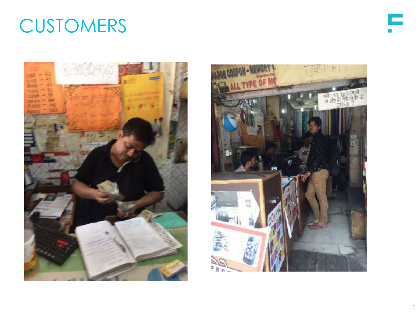### **CUSTOMERS**





CAPITALFLOAT | 1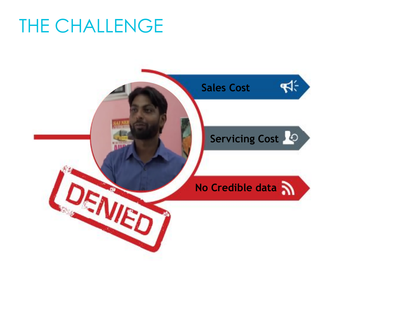#### THE CHALLENGE

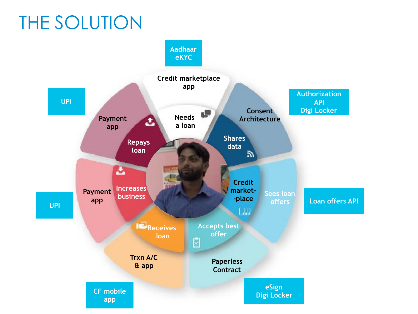## THE SOLUTION

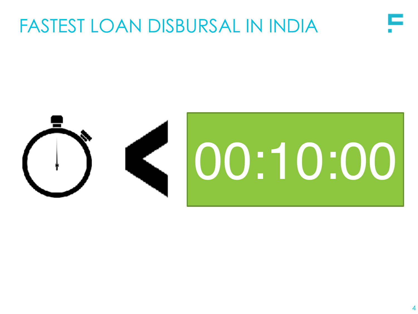#### FASTEST LOAN DISBURSAL IN INDIA

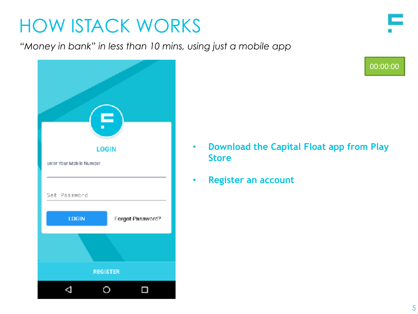*"Money in bank" in less than 10 mins, using just a mobile app*

| <b>LOGIN</b><br>Enter Your Mobile Number |                  |  |
|------------------------------------------|------------------|--|
|                                          |                  |  |
| Set Password                             |                  |  |
| LOGIN                                    | Forgot Password? |  |
|                                          |                  |  |
| <b>REGISTER</b>                          |                  |  |
|                                          |                  |  |

00:00:00

- **Download the Capital Float app from Play Store**
- **Register an account**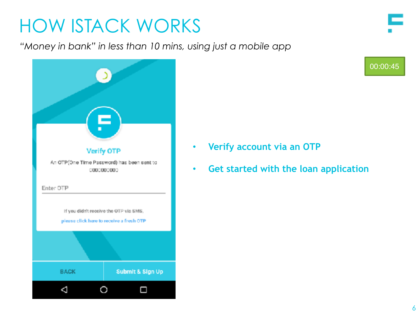*"Money in bank" in less than 10 mins, using just a mobile app*



- **Verify account via an OTP**
- **Get started with the loan application**

CAPITALFLOAT | 6

00:00:45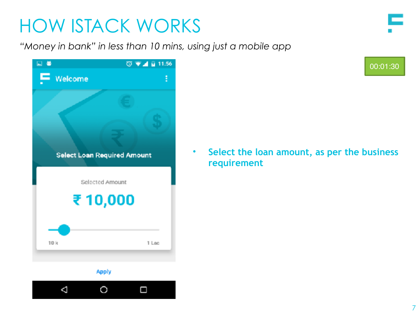*"Money in bank" in less than 10 mins, using just a mobile app*

| ⊡ ⊌                    | $\overline{\circ}$ $\bullet$ $\overline{4}$ $\overline{8}$ 11:56 |   |
|------------------------|------------------------------------------------------------------|---|
| $\blacksquare$ Welcome |                                                                  | E |
|                        |                                                                  |   |
|                        |                                                                  |   |
|                        |                                                                  |   |
|                        | <b>Select Loan Required Amount</b>                               |   |
|                        | Selected Amount                                                  |   |
|                        |                                                                  |   |
|                        | ₹10,000                                                          |   |
|                        |                                                                  |   |
|                        |                                                                  |   |
| 10k                    | 1 Lac                                                            |   |
|                        |                                                                  |   |

**Apply** 



00:01:30

• **Select the loan amount, as per the business requirement**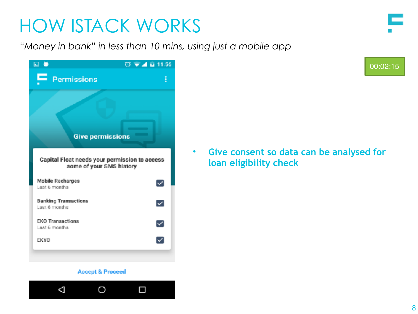*"Money in bank" in less than 10 mins, using just a mobile app*



**Accept & Proceed** 



00:02:15

• **Give consent so data can be analysed for loan eligibility check**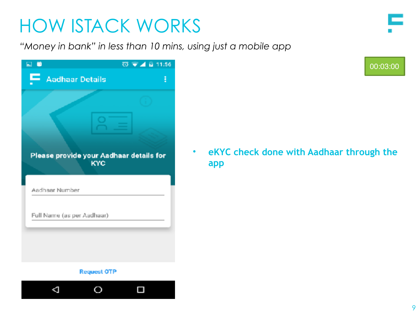*"Money in bank" in less than 10 mins, using just a mobile app*

| m<br>E                      |                                                       | $\overline{0}$ $\overline{v}$ $\overline{A}$ is 11:56 |
|-----------------------------|-------------------------------------------------------|-------------------------------------------------------|
| ▬<br><b>Aadhaar Details</b> |                                                       | Ē                                                     |
|                             |                                                       |                                                       |
|                             |                                                       |                                                       |
|                             |                                                       |                                                       |
|                             | Please provide your Aadhaar details for<br><b>KYC</b> |                                                       |
| Aadhaar Number              |                                                       |                                                       |
| Full Name (as per Aadhaar)  |                                                       |                                                       |
|                             |                                                       |                                                       |
|                             |                                                       |                                                       |

#### **Request OTP**



00:03:00

• **eKYC check done with Aadhaar through the app**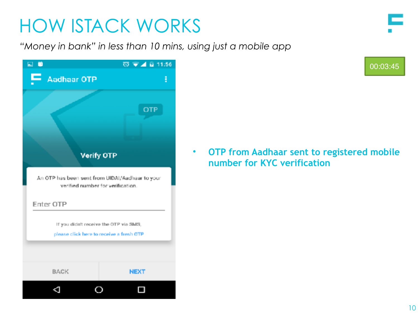*"Money in bank" in less than 10 mins, using just a mobile app*

| ō<br>$\Box$                                                                        | $\overline{0}$ $\overline{v}$ $\overline{A}$ is 11:56                                |  |
|------------------------------------------------------------------------------------|--------------------------------------------------------------------------------------|--|
| <b>Aadhaar OTP</b>                                                                 | Ē                                                                                    |  |
|                                                                                    | <b>OTP</b><br><b>Verify OTP</b>                                                      |  |
|                                                                                    | An OTP has been sent from UIDAI/Aadhaar to your<br>verified number for verification. |  |
| Enter OTP                                                                          |                                                                                      |  |
| If you didn't receive the OTP via SMS,<br>please click here to receive a fresh OTP |                                                                                      |  |
| <b>BACK</b>                                                                        | <b>NEXT</b>                                                                          |  |
|                                                                                    |                                                                                      |  |

00:03:45

• **OTP from Aadhaar sent to registered mobile number for KYC verification**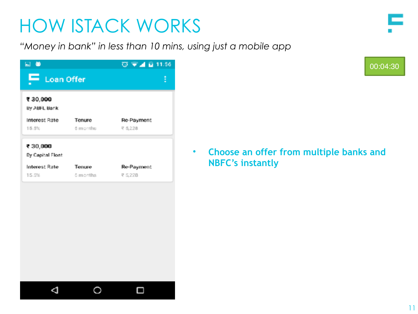*"Money in bank" in less than 10 mins, using just a mobile app*

| ⊡ ●                          |          | ◎ ▼⊿ 自 11:56 |
|------------------------------|----------|--------------|
| ᆮ<br>Loan Offer              |          | ፧            |
| ₹ 30,000<br>By ABFL Bank     |          |              |
| Interest Rate                | Tenure   | Re-Payment   |
| 15.5%                        | 6 months | ₹ 5,228      |
| ₹ 30,000<br>By Capital Float |          |              |
| Interest Rate                | Tenure   | Re-Payment   |
| 15.5%                        | 5 months | ₹ 5,228      |
|                              |          |              |
|                              |          |              |
|                              |          |              |

00:04:30

• **Choose an offer from multiple banks and NBFC's instantly**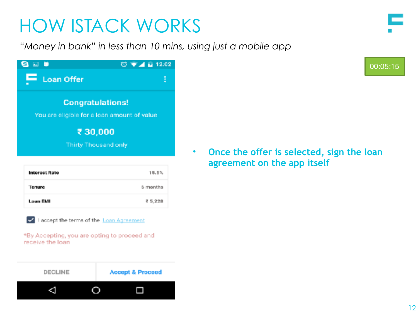*"Money in bank" in less than 10 mins, using just a mobile app*

| <b>LG</b>                                   | $\overline{\text{O}}$ $\blacktriangledown$ $\blacktriangle$ ii 12.02 |  |
|---------------------------------------------|----------------------------------------------------------------------|--|
| $\blacksquare$ Loan Offer                   |                                                                      |  |
| <b>Congratulations!</b>                     |                                                                      |  |
| You are eligible for a loan amount of value |                                                                      |  |
| ₹30,000                                     |                                                                      |  |
| <b>Thirty Thousand only</b>                 |                                                                      |  |
|                                             |                                                                      |  |

| Interest Rate | 15.5%           |
|---------------|-----------------|
| Tenure        | <b>6</b> months |
| Loan FMI      | ₹ 5,228         |

I accept the terms of the Loan Agreement

\*By Accepting, you are opting to proceed and receive the loan



• **Once the offer is selected, sign the loan agreement on the app itself**

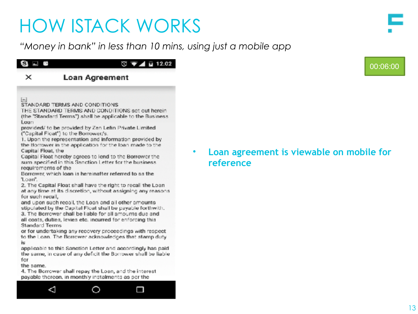*"Money in bank" in less than 10 mins, using just a mobile app*



#### **Loan Agreement** ×

 $[...]$ 

STANDARD TERMS AND CONDITIONS

THE STANDARD TERMS AND CONDITIONS set out herein (the "Standard Terms") shall be applicable to the Business Loan

provided/ to be provided by Zen Lefin Private Limited ("Capital Float") to the Borrower/s.

1. Upon the representation and information provided by the Borrower in the application for the loan made to the Capital Float, the

Capital Float hereby agrees to lend to the Borrower the sum specified in this Sanction Letter for the business. requirements of the

Borrower, which loan is hereinafter referred to as the "Loan".

2. The Capital Float shall have the right to recall the Loan at any time at its discretion, without assigning any reasons. for such recall,

and upon such recall, the Loan and all other amounts stipulated by the Capital Float shall be payable forthwith. 3. The Borrower shall be liable for all amounts due and all costs, duties, levies etc. incurred for enforcing this Standard Terms

or for undertaking any recovery proceedings with respect to the Loan. The Borrower acknowledges that stamp duty is:

applicable to this Sanction Letter and accordingly has paid. the same, in case of any deficit the Borrower shall be liable for

the same.

4. The Borrower shall repay the Loan, and the interest payable thereon, in monthly instalments as per the



• **Loan agreement is viewable on mobile for reference** 

00:06:00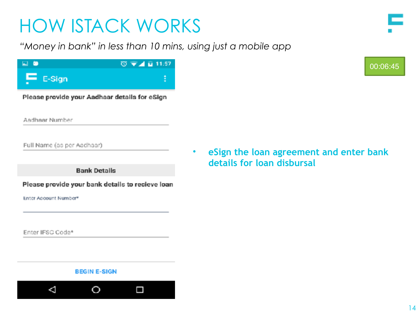*"Money in bank" in less than 10 mins, using just a mobile app*

| ⊟ ©          | ◎ ▼⊿ 目 11:57 |
|--------------|--------------|
| $F = E-Sign$ |              |

Please provide your Aadhaar details for eSign

Aadhaar Number

Full Name (as per Aadhaar)

**Bank Details** 

Please provide your bank details to recieve loan

**BEGIN E-SIGN** 

 $\circ$ 

Π

Enter Account Number®

Enter IFSC Code\*

Δ

#### • **eSign the loan agreement and enter bank details for loan disbursal**





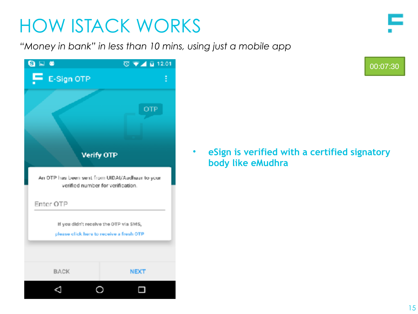*"Money in bank" in less than 10 mins, using just a mobile app*

| E                                                                                  | $\overline{O}$ $\overline{V}$ $\overline{A}$ $\overline{B}$ 12:01                    |  |
|------------------------------------------------------------------------------------|--------------------------------------------------------------------------------------|--|
| $\mathbf{F}$ E-Sign OTP                                                            | ፡                                                                                    |  |
|                                                                                    | <b>OTP</b><br><b>Verify OTP</b>                                                      |  |
|                                                                                    | An OTP has been sent from UIDAI/Aadhaar to your<br>verified number for verification. |  |
| Enter OTP                                                                          |                                                                                      |  |
| If you didn't receive the OTP via SMS,<br>please click here to receive a fresh OTP |                                                                                      |  |
| <b>BACK</b>                                                                        | <b>NEXT</b>                                                                          |  |
|                                                                                    |                                                                                      |  |

00:07:30

• **eSign is verified with a certified signatory body like eMudhra**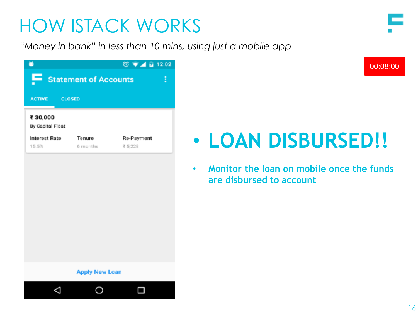#### CAPITALFLOAT 16

## HOW ISTACK WORKS

*"Money in bank" in less than 10 mins, using just a mobile app*

| ۵                             |                            | $\overline{O}$ $\overline{V}$ $\overline{A}$ $\overline{B}$ 12:02 |  |
|-------------------------------|----------------------------|-------------------------------------------------------------------|--|
|                               | Statement of Accounts<br>ŧ |                                                                   |  |
| ACTIVE CLOSED                 |                            |                                                                   |  |
| ₹30,000<br>By Capital Float   |                            |                                                                   |  |
| <b>Interest Rate</b><br>15.5% | Tenure<br>6 months         | Re-Payment<br>₹ 5,228                                             |  |
|                               |                            |                                                                   |  |
|                               |                            |                                                                   |  |
|                               |                            |                                                                   |  |
|                               |                            |                                                                   |  |
|                               |                            |                                                                   |  |
|                               | <b>Apply New Loan</b>      |                                                                   |  |
|                               |                            |                                                                   |  |

# • **LOAN DISBURSED!!**

• **Monitor the loan on mobile once the funds are disbursed to account**